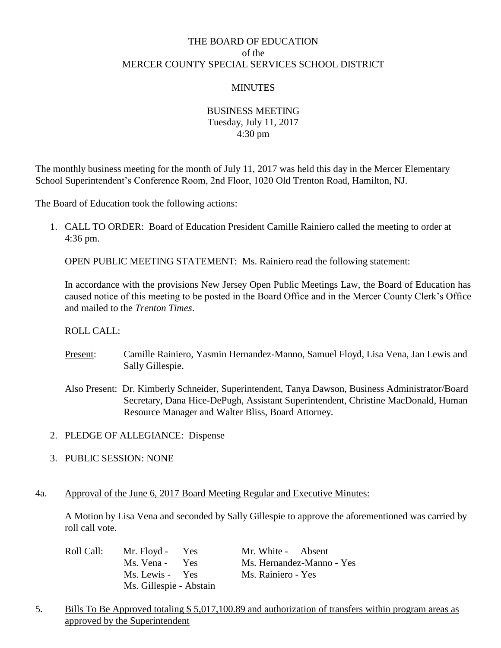# THE BOARD OF EDUCATION of the MERCER COUNTY SPECIAL SERVICES SCHOOL DISTRICT

# **MINUTES**

# BUSINESS MEETING Tuesday, July 11, 2017 4:30 pm

The monthly business meeting for the month of July 11, 2017 was held this day in the Mercer Elementary School Superintendent's Conference Room, 2nd Floor, 1020 Old Trenton Road, Hamilton, NJ.

The Board of Education took the following actions:

1. CALL TO ORDER: Board of Education President Camille Rainiero called the meeting to order at 4:36 pm.

OPEN PUBLIC MEETING STATEMENT: Ms. Rainiero read the following statement:

In accordance with the provisions New Jersey Open Public Meetings Law, the Board of Education has caused notice of this meeting to be posted in the Board Office and in the Mercer County Clerk's Office and mailed to the *Trenton Times*.

### ROLL CALL:

- Present: Camille Rainiero, Yasmin Hernandez-Manno, Samuel Floyd, Lisa Vena, Jan Lewis and Sally Gillespie.
- Also Present: Dr. Kimberly Schneider, Superintendent, Tanya Dawson, Business Administrator/Board Secretary, Dana Hice-DePugh, Assistant Superintendent, Christine MacDonald, Human Resource Manager and Walter Bliss, Board Attorney.
- 2. PLEDGE OF ALLEGIANCE: Dispense
- 3. PUBLIC SESSION: NONE

### 4a. Approval of the June 6, 2017 Board Meeting Regular and Executive Minutes:

A Motion by Lisa Vena and seconded by Sally Gillespie to approve the aforementioned was carried by roll call vote.

| Roll Call: | Mr. Floyd - Yes         | Mr. White - Absent        |
|------------|-------------------------|---------------------------|
|            | Ms. Vena - Yes          | Ms. Hernandez-Manno - Yes |
|            | Ms. Lewis - Yes         | Ms. Rainiero - Yes        |
|            | Ms. Gillespie - Abstain |                           |

5. Bills To Be Approved totaling \$ 5,017,100.89 and authorization of transfers within program areas as approved by the Superintendent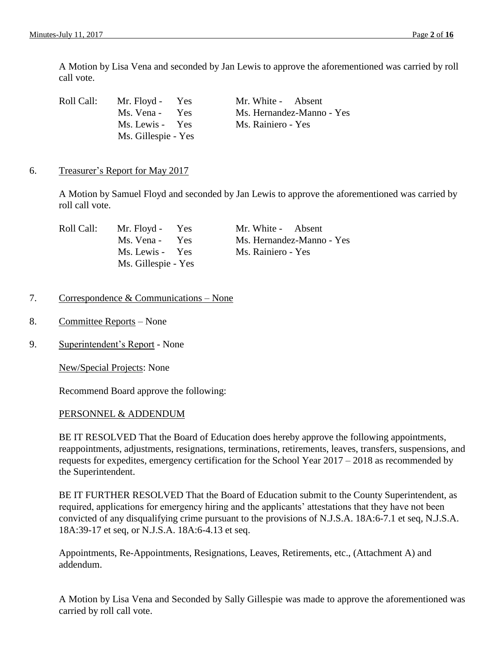A Motion by Lisa Vena and seconded by Jan Lewis to approve the aforementioned was carried by roll call vote.

| Roll Call: | Mr. Floyd - Yes     | Mr. White - Absent        |
|------------|---------------------|---------------------------|
|            | Ms. Vena - Yes      | Ms. Hernandez-Manno - Yes |
|            | Ms. Lewis - Yes     | Ms. Rainiero - Yes        |
|            | Ms. Gillespie - Yes |                           |

#### 6. Treasurer's Report for May 2017

A Motion by Samuel Floyd and seconded by Jan Lewis to approve the aforementioned was carried by roll call vote.

| Roll Call: | Mr. Floyd - Yes     | Mr. White - Absent        |
|------------|---------------------|---------------------------|
|            | Ms. Vena - Yes      | Ms. Hernandez-Manno - Yes |
|            | Ms. Lewis - Yes     | Ms. Rainiero - Yes        |
|            | Ms. Gillespie - Yes |                           |

### 7. Correspondence & Communications – None

- 8. Committee Reports None
- 9. Superintendent's Report None

New/Special Projects: None

Recommend Board approve the following:

#### PERSONNEL & ADDENDUM

BE IT RESOLVED That the Board of Education does hereby approve the following appointments, reappointments, adjustments, resignations, terminations, retirements, leaves, transfers, suspensions, and requests for expedites, emergency certification for the School Year 2017 – 2018 as recommended by the Superintendent.

BE IT FURTHER RESOLVED That the Board of Education submit to the County Superintendent, as required, applications for emergency hiring and the applicants' attestations that they have not been convicted of any disqualifying crime pursuant to the provisions of N.J.S.A. 18A:6-7.1 et seq, N.J.S.A. 18A:39-17 et seq, or N.J.S.A. 18A:6-4.13 et seq.

Appointments, Re-Appointments, Resignations, Leaves, Retirements, etc., (Attachment A) and addendum.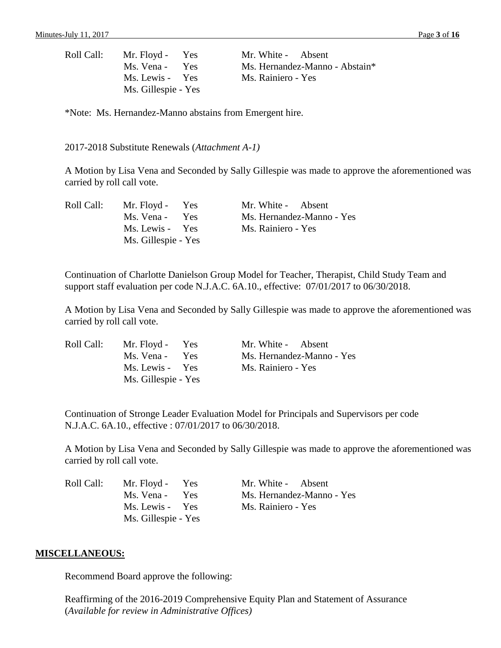| Roll Call: | Mr. Floyd - Yes     | Mr. White - Absent |                                |
|------------|---------------------|--------------------|--------------------------------|
|            | Ms. Vena - Yes      |                    | Ms. Hernandez-Manno - Abstain* |
|            | Ms. Lewis - Yes     | Ms. Rainiero - Yes |                                |
|            | Ms. Gillespie - Yes |                    |                                |

\*Note: Ms. Hernandez-Manno abstains from Emergent hire.

2017-2018 Substitute Renewals (*Attachment A-1)*

A Motion by Lisa Vena and Seconded by Sally Gillespie was made to approve the aforementioned was carried by roll call vote.

| Roll Call: | Mr. Floyd - Yes     | Mr. White - Absent        |
|------------|---------------------|---------------------------|
|            | Ms. Vena - Yes      | Ms. Hernandez-Manno - Yes |
|            | Ms. Lewis - Yes     | Ms. Rainiero - Yes        |
|            | Ms. Gillespie - Yes |                           |

Continuation of Charlotte Danielson Group Model for Teacher, Therapist, Child Study Team and support staff evaluation per code N.J.A.C. 6A.10., effective: 07/01/2017 to 06/30/2018.

A Motion by Lisa Vena and Seconded by Sally Gillespie was made to approve the aforementioned was carried by roll call vote.

| Roll Call: | Mr. Floyd - Yes     | Mr. White - Absent        |
|------------|---------------------|---------------------------|
|            | Ms. Vena - Yes      | Ms. Hernandez-Manno - Yes |
|            | Ms. Lewis - Yes     | Ms. Rainiero - Yes        |
|            | Ms. Gillespie - Yes |                           |

Continuation of Stronge Leader Evaluation Model for Principals and Supervisors per code N.J.A.C. 6A.10., effective : 07/01/2017 to 06/30/2018.

A Motion by Lisa Vena and Seconded by Sally Gillespie was made to approve the aforementioned was carried by roll call vote.

| Roll Call: | Mr. Floyd - Yes     | Mr. White - Absent        |
|------------|---------------------|---------------------------|
|            | Ms. Vena - Yes      | Ms. Hernandez-Manno - Yes |
|            | Ms. Lewis - Yes     | Ms. Rainiero - Yes        |
|            | Ms. Gillespie - Yes |                           |

#### **MISCELLANEOUS:**

Recommend Board approve the following:

Reaffirming of the 2016-2019 Comprehensive Equity Plan and Statement of Assurance (*Available for review in Administrative Offices)*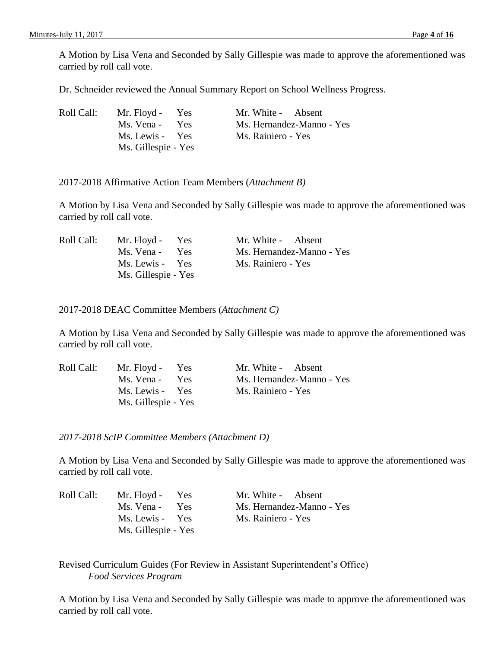A Motion by Lisa Vena and Seconded by Sally Gillespie was made to approve the aforementioned was carried by roll call vote.

Dr. Schneider reviewed the Annual Summary Report on School Wellness Progress.

| Roll Call: | Mr. Floyd - Yes     | Mr. White - Absent        |
|------------|---------------------|---------------------------|
|            | Ms. Vena - Yes      | Ms. Hernandez-Manno - Yes |
|            | Ms. Lewis - Yes     | Ms. Rainiero - Yes        |
|            | Ms. Gillespie - Yes |                           |

2017-2018 Affirmative Action Team Members (*Attachment B)*

A Motion by Lisa Vena and Seconded by Sally Gillespie was made to approve the aforementioned was carried by roll call vote.

| Roll Call: | Mr. Floyd - Yes     | Mr. White - Absent        |
|------------|---------------------|---------------------------|
|            | Ms. Vena - Yes      | Ms. Hernandez-Manno - Yes |
|            | Ms. Lewis - Yes     | Ms. Rainiero - Yes        |
|            | Ms. Gillespie - Yes |                           |

2017-2018 DEAC Committee Members (*Attachment C)*

A Motion by Lisa Vena and Seconded by Sally Gillespie was made to approve the aforementioned was carried by roll call vote.

| Roll Call: | Mr. Floyd - Yes     | Mr. White - Absent        |
|------------|---------------------|---------------------------|
|            | Ms. Vena - Yes      | Ms. Hernandez-Manno - Yes |
|            | Ms. Lewis - Yes     | Ms. Rainiero - Yes        |
|            | Ms. Gillespie - Yes |                           |

*2017-2018 ScIP Committee Members (Attachment D)*

A Motion by Lisa Vena and Seconded by Sally Gillespie was made to approve the aforementioned was carried by roll call vote.

| Roll Call: | Mr. Floyd - Yes     | Mr. White - Absent        |
|------------|---------------------|---------------------------|
|            | Ms. Vena -<br>Yes.  | Ms. Hernandez-Manno - Yes |
|            | Ms. Lewis - Yes     | Ms. Rainiero - Yes        |
|            | Ms. Gillespie - Yes |                           |

Revised Curriculum Guides (For Review in Assistant Superintendent's Office) *Food Services Program*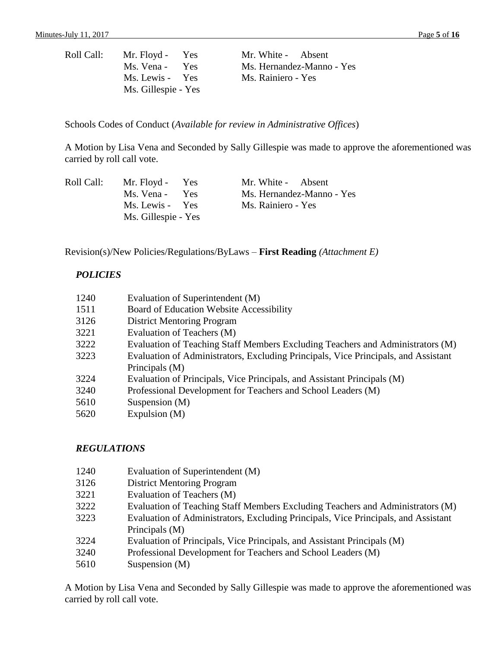| Roll Call: | Mr. Floyd - Yes     | Mr. White - Absent        |
|------------|---------------------|---------------------------|
|            | Ms. Vena - Yes      | Ms. Hernandez-Manno - Yes |
|            | Ms. Lewis - Yes     | Ms. Rainiero - Yes        |
|            | Ms. Gillespie - Yes |                           |

Schools Codes of Conduct (*Available for review in Administrative Offices*)

A Motion by Lisa Vena and Seconded by Sally Gillespie was made to approve the aforementioned was carried by roll call vote.

| Roll Call: | Mr. Floyd - Yes     | Mr. White - Absent        |
|------------|---------------------|---------------------------|
|            | Ms. Vena - Yes      | Ms. Hernandez-Manno - Yes |
|            | Ms. Lewis - Yes     | Ms. Rainiero - Yes        |
|            | Ms. Gillespie - Yes |                           |

Revision(s)/New Policies/Regulations/ByLaws – **First Reading** *(Attachment E)*

### *POLICIES*

| 1240 | Evaluation of Superintendent (M)                                                   |
|------|------------------------------------------------------------------------------------|
| 1511 | Board of Education Website Accessibility                                           |
| 3126 | <b>District Mentoring Program</b>                                                  |
| 3221 | Evaluation of Teachers (M)                                                         |
| 3222 | Evaluation of Teaching Staff Members Excluding Teachers and Administrators (M)     |
| 3223 | Evaluation of Administrators, Excluding Principals, Vice Principals, and Assistant |
|      | Principals (M)                                                                     |
| 3224 | Evaluation of Principals, Vice Principals, and Assistant Principals (M)            |
| 3240 | Professional Development for Teachers and School Leaders (M)                       |
| 5610 | Suspension $(M)$                                                                   |
| 5620 | Expulsion $(M)$                                                                    |

### *REGULATIONS*

- 1240 Evaluation of Superintendent (M)
- 3126 District Mentoring Program
- 3221 Evaluation of Teachers (M)
- 3222 Evaluation of Teaching Staff Members Excluding Teachers and Administrators (M)
- 3223 Evaluation of Administrators, Excluding Principals, Vice Principals, and Assistant Principals (M)
- 3224 Evaluation of Principals, Vice Principals, and Assistant Principals (M)
- 3240 Professional Development for Teachers and School Leaders (M)
- 5610 Suspension (M)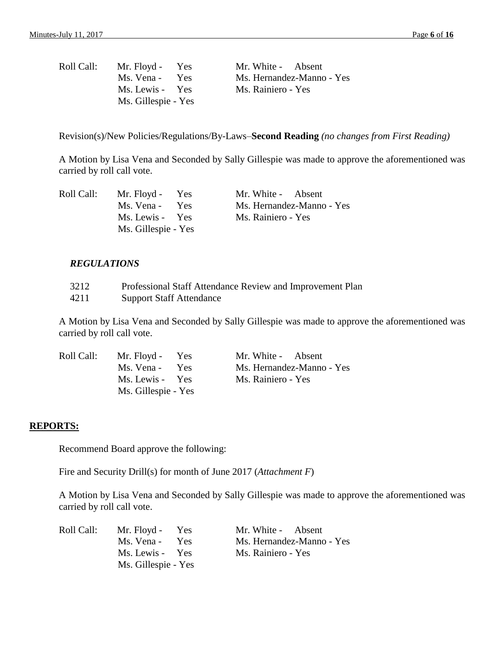| Roll Call: | Mr. Floyd - Yes     | Mr. White - Absent        |
|------------|---------------------|---------------------------|
|            | Ms. Vena - Yes      | Ms. Hernandez-Manno - Yes |
|            | Ms. Lewis - Yes     | Ms. Rainiero - Yes        |
|            | Ms. Gillespie - Yes |                           |

Revision(s)/New Policies/Regulations/By-Laws–**Second Reading** *(no changes from First Reading)*

A Motion by Lisa Vena and Seconded by Sally Gillespie was made to approve the aforementioned was carried by roll call vote.

| Roll Call: | Mr. Floyd - Yes     | Mr. White - Absent        |
|------------|---------------------|---------------------------|
|            | Ms. Vena - Yes      | Ms. Hernandez-Manno - Yes |
|            | Ms. Lewis - Yes     | Ms. Rainiero - Yes        |
|            | Ms. Gillespie - Yes |                           |

#### *REGULATIONS*

| 3212 | Professional Staff Attendance Review and Improvement Plan |
|------|-----------------------------------------------------------|
| 4211 | <b>Support Staff Attendance</b>                           |

A Motion by Lisa Vena and Seconded by Sally Gillespie was made to approve the aforementioned was carried by roll call vote.

| Roll Call: | Mr. Floyd - Yes     | Mr. White - Absent        |
|------------|---------------------|---------------------------|
|            | Ms. Vena - Yes      | Ms. Hernandez-Manno - Yes |
|            | Ms. Lewis - Yes     | Ms. Rainiero - Yes        |
|            | Ms. Gillespie - Yes |                           |

#### **REPORTS:**

Recommend Board approve the following:

Fire and Security Drill(s) for month of June 2017 (*Attachment F*)

| Roll Call: | Mr. Floyd - Yes     | Mr. White - Absent        |
|------------|---------------------|---------------------------|
|            | Ms. Vena - Yes      | Ms. Hernandez-Manno - Yes |
|            | Ms. Lewis - Yes     | Ms. Rainiero - Yes        |
|            | Ms. Gillespie - Yes |                           |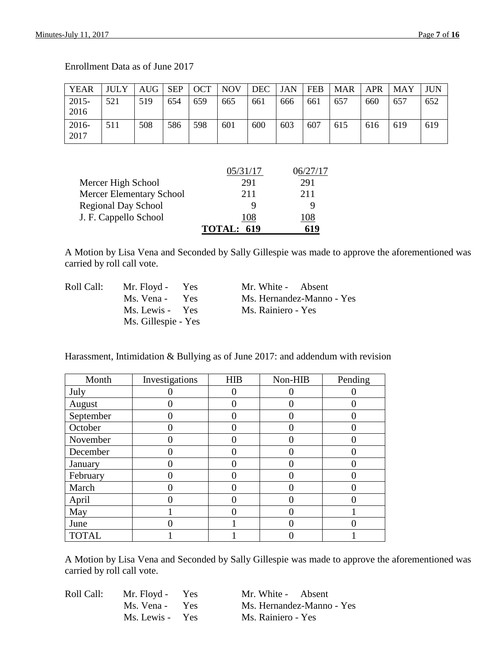| <b>YEAR</b>      | <b>JULY</b> | AUG | <b>SEP</b> | <b>OCT</b> | <b>NOV</b> | <b>DEC</b> | <b>JAN</b> | <b>FEB</b> | <b>MAR</b> | <b>APR</b> | <b>MAY</b> | JUN |
|------------------|-------------|-----|------------|------------|------------|------------|------------|------------|------------|------------|------------|-----|
| $2015 -$<br>2016 | 521         | 519 | 654        | 659        | 665        | 661        | 666        | 661        | 657        | 660        | 657        | 652 |
| 2016-<br>2017    | 511         | 508 | 586        | 598        | 601        | 600        | 603        | 607        | 615        | 616        | 619        | 619 |

Enrollment Data as of June 2017

|                                 | 05/31/17          |     |
|---------------------------------|-------------------|-----|
| Mercer High School              | 291               | 291 |
| <b>Mercer Elementary School</b> | 211               | 211 |
| <b>Regional Day School</b>      |                   | q   |
| J. F. Cappello School           | 108               | 08  |
|                                 | <b>TOTAL: 619</b> | 619 |

A Motion by Lisa Vena and Seconded by Sally Gillespie was made to approve the aforementioned was carried by roll call vote.

| Roll Call: | Mr. Floyd - Yes     | Mr. White - Absent        |
|------------|---------------------|---------------------------|
|            | Ms. Vena - Yes      | Ms. Hernandez-Manno - Yes |
|            | Ms. Lewis - Yes     | Ms. Rainiero - Yes        |
|            | Ms. Gillespie - Yes |                           |

Harassment, Intimidation & Bullying as of June 2017: and addendum with revision

| Month        | Investigations | <b>HIB</b> | Non-HIB | Pending |
|--------------|----------------|------------|---------|---------|
| July         |                |            |         |         |
| August       |                |            |         |         |
| September    |                |            |         |         |
| October      |                |            |         |         |
| November     |                |            |         |         |
| December     |                |            |         |         |
| January      |                |            |         |         |
| February     |                |            |         |         |
| March        |                |            |         |         |
| April        |                |            |         |         |
| May          |                |            |         |         |
| June         |                |            |         |         |
| <b>TOTAL</b> |                |            |         |         |

| Roll Call: | Mr. Floyd - Yes | Mr. White - Absent        |
|------------|-----------------|---------------------------|
|            | Ms. Vena - Yes  | Ms. Hernandez-Manno - Yes |
|            | Ms. Lewis - Yes | Ms. Rainiero - Yes        |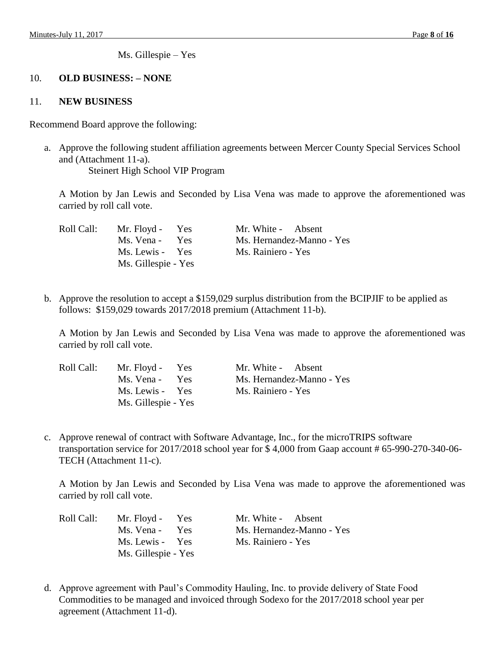Ms. Gillespie – Yes

# 10. **OLD BUSINESS: – NONE**

### 11. **NEW BUSINESS**

Recommend Board approve the following:

a. Approve the following student affiliation agreements between Mercer County Special Services School and (Attachment 11-a). Steinert High School VIP Program

A Motion by Jan Lewis and Seconded by Lisa Vena was made to approve the aforementioned was carried by roll call vote.

| Roll Call: | Mr. Floyd - Yes     | Mr. White - Absent        |
|------------|---------------------|---------------------------|
|            | Ms. Vena - Yes      | Ms. Hernandez-Manno - Yes |
|            | Ms. Lewis - Yes     | Ms. Rainiero - Yes        |
|            | Ms. Gillespie - Yes |                           |

b. Approve the resolution to accept a \$159,029 surplus distribution from the BCIPJIF to be applied as follows: \$159,029 towards 2017/2018 premium (Attachment 11-b).

A Motion by Jan Lewis and Seconded by Lisa Vena was made to approve the aforementioned was carried by roll call vote.

| Roll Call: | Mr. Floyd - Yes     | Mr. White - Absent        |
|------------|---------------------|---------------------------|
|            | Ms. Vena - Yes      | Ms. Hernandez-Manno - Yes |
|            | Ms. Lewis - Yes     | Ms. Rainiero - Yes        |
|            | Ms. Gillespie - Yes |                           |

c. Approve renewal of contract with Software Advantage, Inc., for the microTRIPS software transportation service for 2017/2018 school year for \$ 4,000 from Gaap account # 65-990-270-340-06- TECH (Attachment 11-c).

A Motion by Jan Lewis and Seconded by Lisa Vena was made to approve the aforementioned was carried by roll call vote.

| Roll Call: | Mr. Floyd - Yes          | Mr. White - Absent        |
|------------|--------------------------|---------------------------|
|            | Ms. Vena -<br><b>Yes</b> | Ms. Hernandez-Manno - Yes |
|            | Ms. Lewis - Yes          | Ms. Rainiero - Yes        |
|            | Ms. Gillespie - Yes      |                           |

d. Approve agreement with Paul's Commodity Hauling, Inc. to provide delivery of State Food Commodities to be managed and invoiced through Sodexo for the 2017/2018 school year per agreement (Attachment 11-d).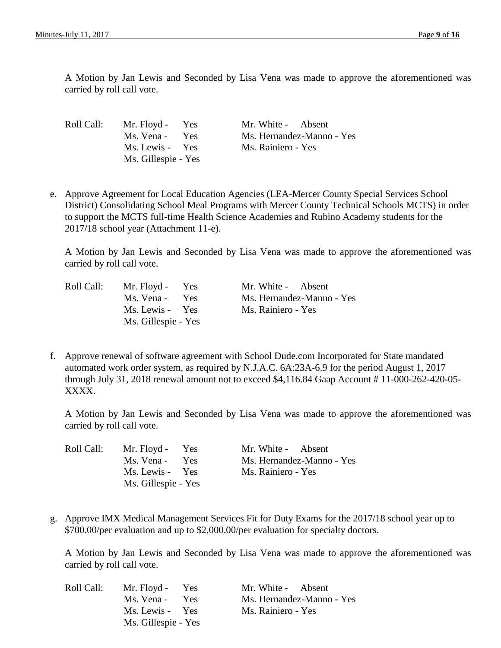| Roll Call: | Mr. Floyd - Yes     | Mr. White - Absent        |
|------------|---------------------|---------------------------|
|            | Ms. Vena - Yes      | Ms. Hernandez-Manno - Yes |
|            | Ms. Lewis - Yes     | Ms. Rainiero - Yes        |
|            | Ms. Gillespie - Yes |                           |

e. Approve Agreement for Local Education Agencies (LEA-Mercer County Special Services School District) Consolidating School Meal Programs with Mercer County Technical Schools MCTS) in order to support the MCTS full-time Health Science Academies and Rubino Academy students for the 2017/18 school year (Attachment 11-e).

A Motion by Jan Lewis and Seconded by Lisa Vena was made to approve the aforementioned was carried by roll call vote.

| Roll Call: | Mr. Floyd - Yes     | Mr. White - Absent        |
|------------|---------------------|---------------------------|
|            | Ms. Vena - Yes      | Ms. Hernandez-Manno - Yes |
|            | Ms. Lewis - Yes     | Ms. Rainiero - Yes        |
|            | Ms. Gillespie - Yes |                           |

f. Approve renewal of software agreement with School Dude.com Incorporated for State mandated automated work order system, as required by N.J.A.C. 6A:23A-6.9 for the period August 1, 2017 through July 31, 2018 renewal amount not to exceed \$4,116.84 Gaap Account # 11-000-262-420-05- XXXX.

A Motion by Jan Lewis and Seconded by Lisa Vena was made to approve the aforementioned was carried by roll call vote.

| Roll Call: | Mr. Floyd - Yes     | Mr. White - Absent        |
|------------|---------------------|---------------------------|
|            | Ms. Vena - Yes      | Ms. Hernandez-Manno - Yes |
|            | Ms. Lewis - Yes     | Ms. Rainiero - Yes        |
|            | Ms. Gillespie - Yes |                           |

g. Approve IMX Medical Management Services Fit for Duty Exams for the 2017/18 school year up to \$700.00/per evaluation and up to \$2,000.00/per evaluation for specialty doctors.

A Motion by Jan Lewis and Seconded by Lisa Vena was made to approve the aforementioned was carried by roll call vote.

| Roll Call: | Mr. Floyd - Yes          | Mr. White - Absent        |
|------------|--------------------------|---------------------------|
|            | Ms. Vena -<br><b>Yes</b> | Ms. Hernandez-Manno - Yes |
|            | Ms. Lewis - Yes          | Ms. Rainiero - Yes        |
|            | Ms. Gillespie - Yes      |                           |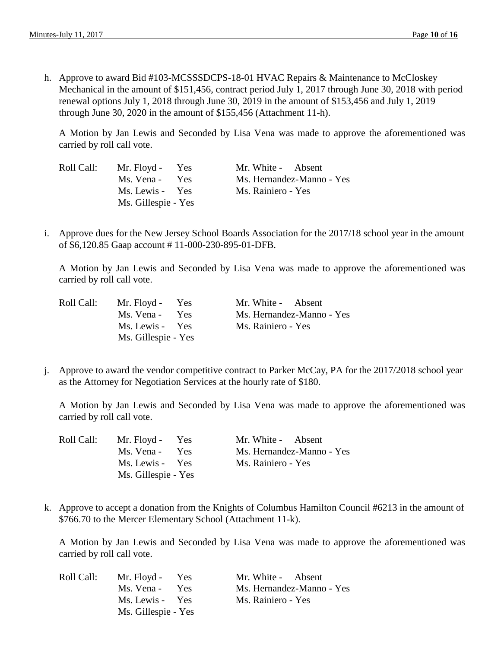h. Approve to award Bid #103-MCSSSDCPS-18-01 HVAC Repairs & Maintenance to McCloskey Mechanical in the amount of \$151,456, contract period July 1, 2017 through June 30, 2018 with period renewal options July 1, 2018 through June 30, 2019 in the amount of \$153,456 and July 1, 2019 through June 30, 2020 in the amount of \$155,456 (Attachment 11-h).

A Motion by Jan Lewis and Seconded by Lisa Vena was made to approve the aforementioned was carried by roll call vote.

| Roll Call: | Mr. Floyd - Yes     | Mr. White - Absent        |
|------------|---------------------|---------------------------|
|            | Ms. Vena - Yes      | Ms. Hernandez-Manno - Yes |
|            | Ms. Lewis - Yes     | Ms. Rainiero - Yes        |
|            | Ms. Gillespie - Yes |                           |

i. Approve dues for the New Jersey School Boards Association for the 2017/18 school year in the amount of \$6,120.85 Gaap account # 11-000-230-895-01-DFB.

A Motion by Jan Lewis and Seconded by Lisa Vena was made to approve the aforementioned was carried by roll call vote.

| Roll Call: | Mr. Floyd - Yes          | Mr. White - Absent        |
|------------|--------------------------|---------------------------|
|            | Ms. Vena -<br><b>Yes</b> | Ms. Hernandez-Manno - Yes |
|            | Ms. Lewis - Yes          | Ms. Rainiero - Yes        |
|            | Ms. Gillespie - Yes      |                           |

j. Approve to award the vendor competitive contract to Parker McCay, PA for the 2017/2018 school year as the Attorney for Negotiation Services at the hourly rate of \$180.

A Motion by Jan Lewis and Seconded by Lisa Vena was made to approve the aforementioned was carried by roll call vote.

| Roll Call: | Mr. Floyd - Yes     | Mr. White - Absent        |
|------------|---------------------|---------------------------|
|            | Ms. Vena - Yes      | Ms. Hernandez-Manno - Yes |
|            | Ms. Lewis - Yes     | Ms. Rainiero - Yes        |
|            | Ms. Gillespie - Yes |                           |

k. Approve to accept a donation from the Knights of Columbus Hamilton Council #6213 in the amount of \$766.70 to the Mercer Elementary School (Attachment 11-k).

A Motion by Jan Lewis and Seconded by Lisa Vena was made to approve the aforementioned was carried by roll call vote.

| Roll Call: | Mr. Floyd - Yes     | Mr. White - Absent        |
|------------|---------------------|---------------------------|
|            | Ms. Vena - Yes      | Ms. Hernandez-Manno - Yes |
|            | Ms. Lewis - Yes     | Ms. Rainiero - Yes        |
|            | Ms. Gillespie - Yes |                           |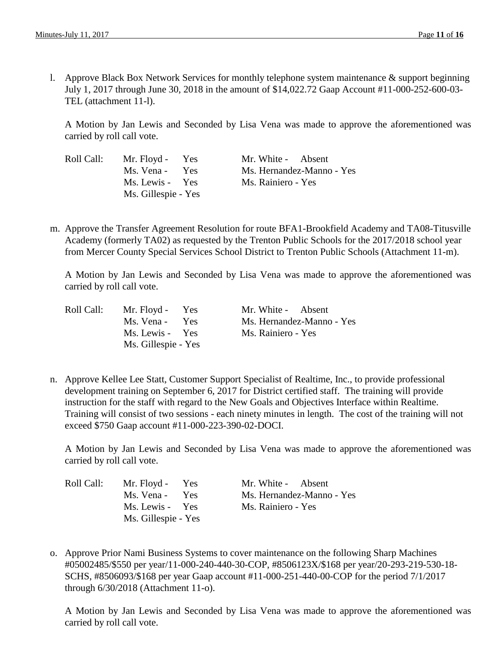l. Approve Black Box Network Services for monthly telephone system maintenance & support beginning July 1, 2017 through June 30, 2018 in the amount of \$14,022.72 Gaap Account #11-000-252-600-03- TEL (attachment 11-l).

A Motion by Jan Lewis and Seconded by Lisa Vena was made to approve the aforementioned was carried by roll call vote.

| Roll Ca |  |
|---------|--|
|         |  |
|         |  |
|         |  |

| Roll Call: | Mr. Floyd - Yes     | Mr. White - Absent        |
|------------|---------------------|---------------------------|
|            | Ms. Vena - Yes      | Ms. Hernandez-Manno - Yes |
|            | Ms. Lewis - Yes     | Ms. Rainiero - Yes        |
|            | Ms. Gillespie - Yes |                           |

m. Approve the Transfer Agreement Resolution for route BFA1-Brookfield Academy and TA08-Titusville Academy (formerly TA02) as requested by the Trenton Public Schools for the 2017/2018 school year from Mercer County Special Services School District to Trenton Public Schools (Attachment 11-m).

A Motion by Jan Lewis and Seconded by Lisa Vena was made to approve the aforementioned was carried by roll call vote.

| Roll Call: | Mr. Floyd - Yes     | Mr. White - Absent        |
|------------|---------------------|---------------------------|
|            | Ms. Vena - Yes      | Ms. Hernandez-Manno - Yes |
|            | Ms. Lewis - Yes     | Ms. Rainiero - Yes        |
|            | Ms. Gillespie - Yes |                           |

n. Approve Kellee Lee Statt, Customer Support Specialist of Realtime, Inc., to provide professional development training on September 6, 2017 for District certified staff. The training will provide instruction for the staff with regard to the New Goals and Objectives Interface within Realtime. Training will consist of two sessions - each ninety minutes in length. The cost of the training will not exceed \$750 Gaap account #11-000-223-390-02-DOCI.

A Motion by Jan Lewis and Seconded by Lisa Vena was made to approve the aforementioned was carried by roll call vote.

| Roll Call: | Mr. Floyd - Yes     | Mr. White - Absent        |
|------------|---------------------|---------------------------|
|            | Ms. Vena - Yes      | Ms. Hernandez-Manno - Yes |
|            | Ms. Lewis - Yes     | Ms. Rainiero - Yes        |
|            | Ms. Gillespie - Yes |                           |

o. Approve Prior Nami Business Systems to cover maintenance on the following Sharp Machines #05002485/\$550 per year/11-000-240-440-30-COP, #8506123X/\$168 per year/20-293-219-530-18- SCHS, #8506093/\$168 per year Gaap account #11-000-251-440-00-COP for the period 7/1/2017 through 6/30/2018 (Attachment 11-o).

A Motion by Jan Lewis and Seconded by Lisa Vena was made to approve the aforementioned was carried by roll call vote.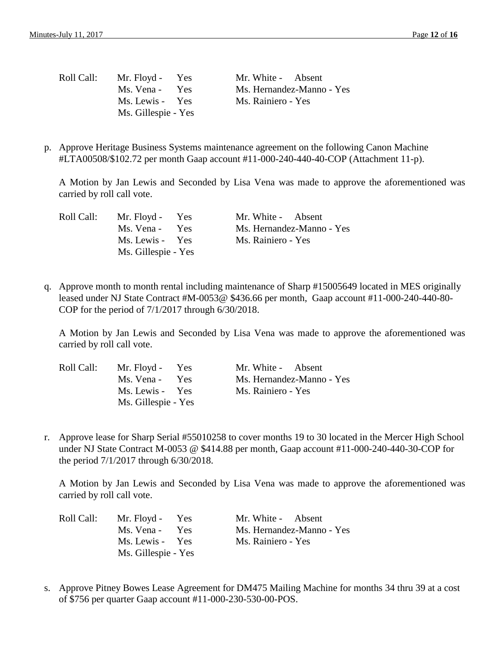| Roll Call: | Mr. Floyd - Yes     | Mr. White - Absent        |
|------------|---------------------|---------------------------|
|            | Ms. Vena - Yes      | Ms. Hernandez-Manno - Yes |
|            | Ms. Lewis - Yes     | Ms. Rainiero - Yes        |
|            | Ms. Gillespie - Yes |                           |

p. Approve Heritage Business Systems maintenance agreement on the following Canon Machine #LTA00508/\$102.72 per month Gaap account #11-000-240-440-40-COP (Attachment 11-p).

A Motion by Jan Lewis and Seconded by Lisa Vena was made to approve the aforementioned was carried by roll call vote.

| Roll Call: | Mr. Floyd - Yes     | Mr. White - Absent        |
|------------|---------------------|---------------------------|
|            | Ms. Vena - Yes      | Ms. Hernandez-Manno - Yes |
|            | Ms. Lewis - Yes     | Ms. Rainiero - Yes        |
|            | Ms. Gillespie - Yes |                           |

q. Approve month to month rental including maintenance of Sharp #15005649 located in MES originally leased under NJ State Contract #M-0053@ \$436.66 per month, Gaap account #11-000-240-440-80- COP for the period of 7/1/2017 through 6/30/2018.

A Motion by Jan Lewis and Seconded by Lisa Vena was made to approve the aforementioned was carried by roll call vote.

| Roll Call: | Mr. Floyd - Yes     | Mr. White - Absent        |
|------------|---------------------|---------------------------|
|            | Ms. Vena - Yes      | Ms. Hernandez-Manno - Yes |
|            | Ms. Lewis - Yes     | Ms. Rainiero - Yes        |
|            | Ms. Gillespie - Yes |                           |

r. Approve lease for Sharp Serial #55010258 to cover months 19 to 30 located in the Mercer High School under NJ State Contract M-0053 @ \$414.88 per month, Gaap account #11-000-240-440-30-COP for the period 7/1/2017 through 6/30/2018.

A Motion by Jan Lewis and Seconded by Lisa Vena was made to approve the aforementioned was carried by roll call vote.

| Roll Call: | Mr. Floyd - Yes          | Mr. White - Absent        |
|------------|--------------------------|---------------------------|
|            | Ms. Vena -<br><b>Yes</b> | Ms. Hernandez-Manno - Yes |
|            | Ms. Lewis - Yes          | Ms. Rainiero - Yes        |
|            | Ms. Gillespie - Yes      |                           |

s. Approve Pitney Bowes Lease Agreement for DM475 Mailing Machine for months 34 thru 39 at a cost of \$756 per quarter Gaap account #11-000-230-530-00-POS.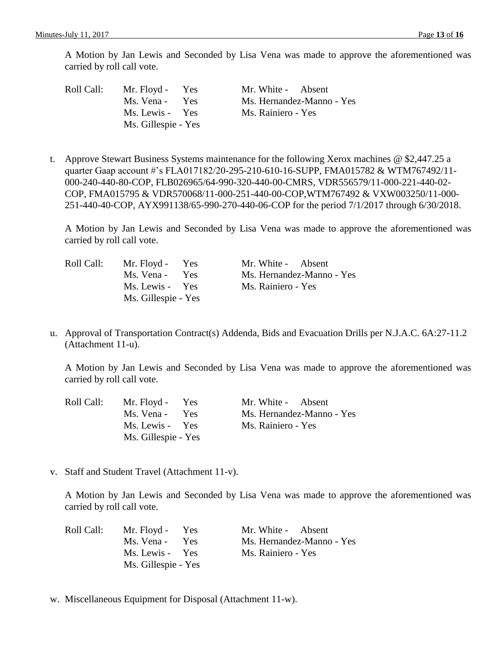- Roll Call: Mr. Floyd Yes Mr. White Absent Ms. Vena - Yes Ms. Hernandez-Manno - Yes Ms. Lewis - Yes Ms. Rainiero - Yes Ms. Gillespie - Yes
- t. Approve Stewart Business Systems maintenance for the following Xerox machines @ \$2,447.25 a quarter Gaap account #'s FLA017182/20-295-210-610-16-SUPP, FMA015782 & WTM767492/11- 000-240-440-80-COP, FLB026965/64-990-320-440-00-CMRS, VDR556579/11-000-221-440-02- COP, FMA015795 & VDR570068/11-000-251-440-00-COP,WTM767492 & VXW003250/11-000- 251-440-40-COP, AYX991138/65-990-270-440-06-COP for the period 7/1/2017 through 6/30/2018.

A Motion by Jan Lewis and Seconded by Lisa Vena was made to approve the aforementioned was carried by roll call vote.

| Roll Call: | Mr. Floyd - Yes     | Mr. White - Absent        |
|------------|---------------------|---------------------------|
|            | Ms. Vena - Yes      | Ms. Hernandez-Manno - Yes |
|            | Ms. Lewis - Yes     | Ms. Rainiero - Yes        |
|            | Ms. Gillespie - Yes |                           |

u. Approval of Transportation Contract(s) Addenda, Bids and Evacuation Drills per N.J.A.C. 6A:27-11.2 (Attachment 11-u).

A Motion by Jan Lewis and Seconded by Lisa Vena was made to approve the aforementioned was carried by roll call vote.

| Roll Call: | Mr. Floyd - Yes     | Mr. White - Absent        |
|------------|---------------------|---------------------------|
|            | Ms. Vena - Yes      | Ms. Hernandez-Manno - Yes |
|            | Ms. Lewis - Yes     | Ms. Rainiero - Yes        |
|            | Ms. Gillespie - Yes |                           |

v. Staff and Student Travel (Attachment 11-v).

A Motion by Jan Lewis and Seconded by Lisa Vena was made to approve the aforementioned was carried by roll call vote.

| Roll Call: | Mr. Floyd - Yes     | Mr. White - Absent        |
|------------|---------------------|---------------------------|
|            | Ms. Vena - Yes      | Ms. Hernandez-Manno - Yes |
|            | Ms. Lewis - Yes     | Ms. Rainiero - Yes        |
|            | Ms. Gillespie - Yes |                           |

w. Miscellaneous Equipment for Disposal (Attachment 11-w).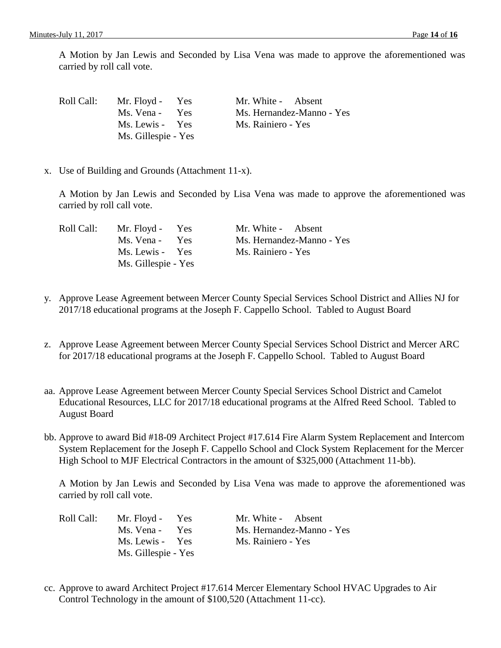| Roll Call: | Mr. Floyd - Yes     | Mr. White - Absent        |
|------------|---------------------|---------------------------|
|            | Ms. Vena -<br>Yes   | Ms. Hernandez-Manno - Yes |
|            | Ms. Lewis - Yes     | Ms. Rainiero - Yes        |
|            | Ms. Gillespie - Yes |                           |

x. Use of Building and Grounds (Attachment 11-x).

A Motion by Jan Lewis and Seconded by Lisa Vena was made to approve the aforementioned was carried by roll call vote.

| Roll Call: | Mr. Floyd - Yes     | Mr. White - Absent        |
|------------|---------------------|---------------------------|
|            | Ms. Vena - Yes      | Ms. Hernandez-Manno - Yes |
|            | Ms. Lewis - Yes     | Ms. Rainiero - Yes        |
|            | Ms. Gillespie - Yes |                           |

- y. Approve Lease Agreement between Mercer County Special Services School District and Allies NJ for 2017/18 educational programs at the Joseph F. Cappello School. Tabled to August Board
- z. Approve Lease Agreement between Mercer County Special Services School District and Mercer ARC for 2017/18 educational programs at the Joseph F. Cappello School. Tabled to August Board
- aa. Approve Lease Agreement between Mercer County Special Services School District and Camelot Educational Resources, LLC for 2017/18 educational programs at the Alfred Reed School. Tabled to August Board
- bb. Approve to award Bid #18-09 Architect Project #17.614 Fire Alarm System Replacement and Intercom System Replacement for the Joseph F. Cappello School and Clock System Replacement for the Mercer High School to MJF Electrical Contractors in the amount of \$325,000 (Attachment 11-bb).

A Motion by Jan Lewis and Seconded by Lisa Vena was made to approve the aforementioned was carried by roll call vote.

| Roll Call: | Mr. Floyd - Yes          | Mr. White - Absent        |
|------------|--------------------------|---------------------------|
|            | Ms. Vena -<br><b>Yes</b> | Ms. Hernandez-Manno - Yes |
|            | Ms. Lewis - Yes          | Ms. Rainiero - Yes        |
|            | Ms. Gillespie - Yes      |                           |

cc. Approve to award Architect Project #17.614 Mercer Elementary School HVAC Upgrades to Air Control Technology in the amount of \$100,520 (Attachment 11-cc).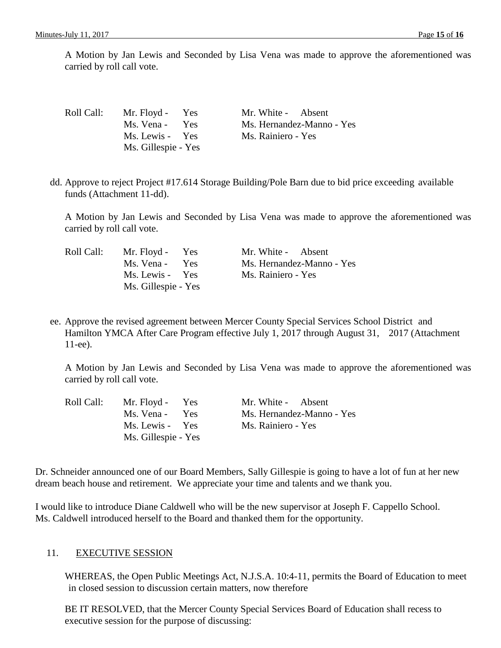| Roll Call: | Mr. Floyd - Yes     | Mr. White - Absent        |
|------------|---------------------|---------------------------|
|            | Ms. Vena - Yes      | Ms. Hernandez-Manno - Yes |
|            | Ms. Lewis - Yes     | Ms. Rainiero - Yes        |
|            | Ms. Gillespie - Yes |                           |

dd. Approve to reject Project #17.614 Storage Building/Pole Barn due to bid price exceeding available funds (Attachment 11-dd).

A Motion by Jan Lewis and Seconded by Lisa Vena was made to approve the aforementioned was carried by roll call vote.

| Roll Call: | Mr. Floyd - Yes     | Mr. White - Absent        |
|------------|---------------------|---------------------------|
|            | Ms. Vena - Yes      | Ms. Hernandez-Manno - Yes |
|            | Ms. Lewis - Yes     | Ms. Rainiero - Yes        |
|            | Ms. Gillespie - Yes |                           |

ee. Approve the revised agreement between Mercer County Special Services School District and Hamilton YMCA After Care Program effective July 1, 2017 through August 31, 2017 (Attachment 11-ee).

A Motion by Jan Lewis and Seconded by Lisa Vena was made to approve the aforementioned was carried by roll call vote.

| Roll Call: | Mr. Floyd - Yes     | Mr. White - Absent        |
|------------|---------------------|---------------------------|
|            | Ms. Vena - Yes      | Ms. Hernandez-Manno - Yes |
|            | Ms. Lewis - Yes     | Ms. Rainiero - Yes        |
|            | Ms. Gillespie - Yes |                           |

Dr. Schneider announced one of our Board Members, Sally Gillespie is going to have a lot of fun at her new dream beach house and retirement. We appreciate your time and talents and we thank you.

I would like to introduce Diane Caldwell who will be the new supervisor at Joseph F. Cappello School. Ms. Caldwell introduced herself to the Board and thanked them for the opportunity.

#### 11. EXECUTIVE SESSION

WHEREAS, the Open Public Meetings Act, N.J.S.A. 10:4-11, permits the Board of Education to meet in closed session to discussion certain matters, now therefore

BE IT RESOLVED, that the Mercer County Special Services Board of Education shall recess to executive session for the purpose of discussing: